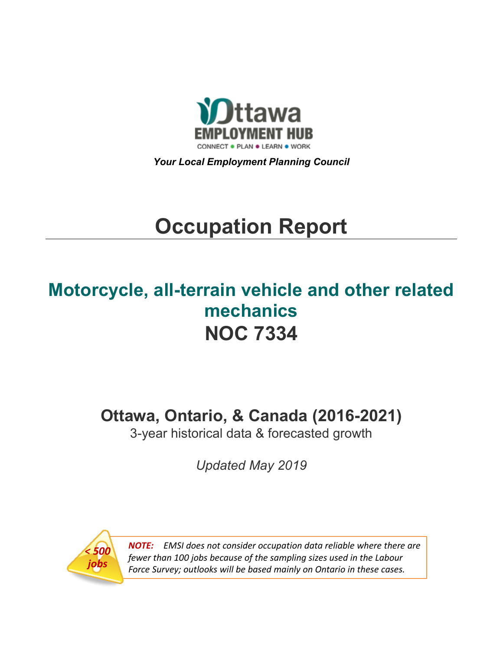

*Your Local Employment Planning Council*

# **Occupation Report**

# **Motorcycle, all-terrain vehicle and other related mechanics NOC 7334**

**Ottawa, Ontario, & Canada (2016-2021)**

3-year historical data & forecasted growth

*Updated May 2019*



*NOTE: EMSI does not consider occupation data reliable where there are fewer than 100 jobs because of the sampling sizes used in the Labour Force Survey; outlooks will be based mainly on Ontario in these cases.*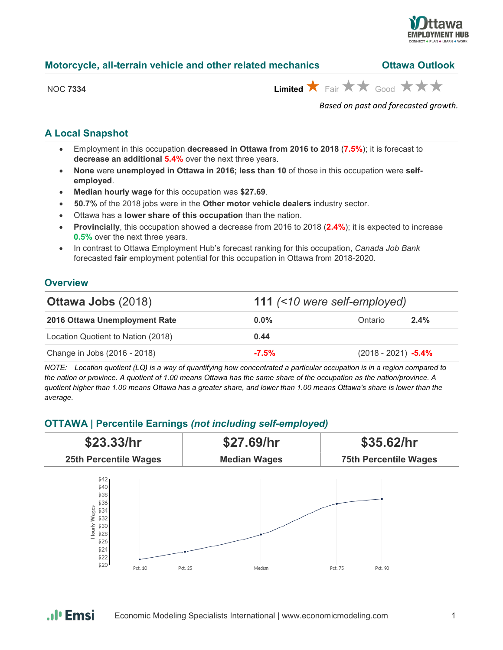

| Motorcycle, all-terrain vehicle and other related mechanics | <b>Ottawa Outlook</b> |
|-------------------------------------------------------------|-----------------------|
|-------------------------------------------------------------|-----------------------|

| <b>NOC 7334</b> |  |
|-----------------|--|
|                 |  |

 $L$ imited  $\bigstar$  Fair  $\bigstar \star \bigstar$  Good  $\bigstar \star \bigstar$ 

*Based on past and forecasted growth.*

### **A Local Snapshot**

- Employment in this occupation **decreased in Ottawa from 2016 to 2018** (**7.5%**); it is forecast to **decrease an additional 5.4%** over the next three years.
- **None** were **unemployed in Ottawa in 2016; less than 10** of those in this occupation were **selfemployed**.
- **Median hourly wage** for this occupation was **\$27.69**.
- **50.7%** of the 2018 jobs were in the **Other motor vehicle dealers** industry sector.
- Ottawa has a **lower share of this occupation** than the nation.
- **Provincially**, this occupation showed a decrease from 2016 to 2018 (**2.4%**); it is expected to increase **0.5%** over the next three years.
- In contrast to Ottawa Employment Hub's forecast ranking for this occupation, *Canada Job Bank*  forecasted **fair** employment potential for this occupation in Ottawa from 2018-2020.

#### **Overview**

| <b>Ottawa Jobs (2018)</b>          |         | 111 (<10 were self-employed) |         |  |
|------------------------------------|---------|------------------------------|---------|--|
| 2016 Ottawa Unemployment Rate      | $0.0\%$ | Ontario                      | $2.4\%$ |  |
| Location Quotient to Nation (2018) | 0.44    |                              |         |  |
| Change in Jobs (2016 - 2018)       | $-7.5%$ | $(2018 - 2021) -5.4\%$       |         |  |

*NOTE: Location quotient (LQ) is a way of quantifying how concentrated a particular occupation is in a region compared to the nation or province. A quotient of 1.00 means Ottawa has the same share of the occupation as the nation/province. A quotient higher than 1.00 means Ottawa has a greater share, and lower than 1.00 means Ottawa's share is lower than the average.*

#### **OTTAWA | Percentile Earnings** *(not including self-employed)*



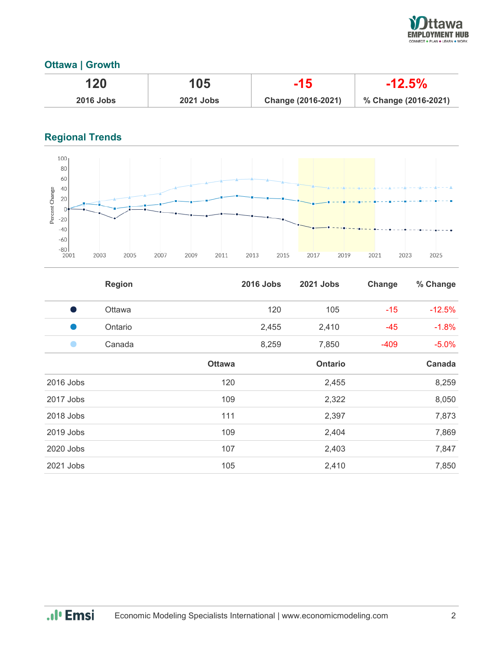

## **Ottawa | Growth**

| 120              | 105              | -15                | $-12.5\%$            |
|------------------|------------------|--------------------|----------------------|
| <b>2016 Jobs</b> | <b>2021 Jobs</b> | Change (2016-2021) | % Change (2016-2021) |

# **Regional Trends**



|           | <b>Region</b> |               | <b>2016 Jobs</b> | 2021 Jobs      | Change | % Change |
|-----------|---------------|---------------|------------------|----------------|--------|----------|
| - 1       | Ottawa        |               | 120              | 105            | $-15$  | $-12.5%$ |
| u.        | Ontario       |               | 2,455            | 2,410          | $-45$  | $-1.8%$  |
|           | Canada        |               | 8,259            | 7,850          | $-409$ | $-5.0%$  |
|           |               | <b>Ottawa</b> |                  | <b>Ontario</b> |        | Canada   |
| 2016 Jobs |               | 120           |                  | 2,455          |        | 8,259    |
| 2017 Jobs |               | 109           |                  | 2,322          |        | 8,050    |
| 2018 Jobs |               | 111           |                  | 2,397          |        | 7,873    |
| 2019 Jobs |               | 109           |                  | 2,404          |        | 7,869    |
| 2020 Jobs |               | 107           |                  | 2,403          |        | 7,847    |
| 2021 Jobs |               | 105           |                  | 2,410          |        | 7,850    |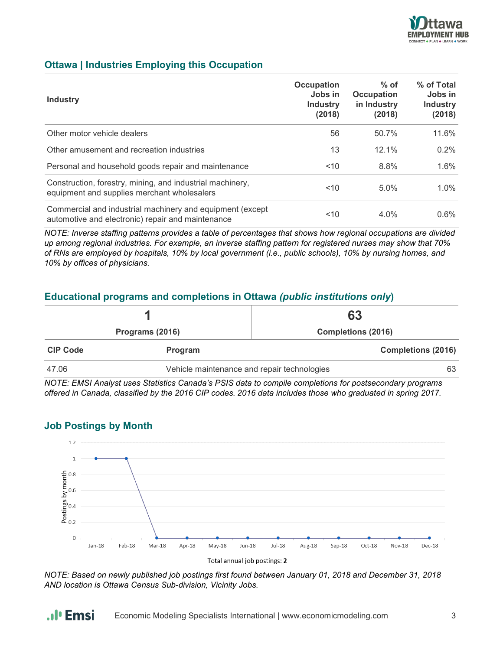

### **Ottawa | Industries Employing this Occupation**

| <b>Industry</b>                                                                                                | <b>Occupation</b><br>Jobs in<br><b>Industry</b><br>(2018) | $%$ of<br><b>Occupation</b><br>in Industry<br>(2018) | % of Total<br>Jobs in<br><b>Industry</b><br>(2018) |
|----------------------------------------------------------------------------------------------------------------|-----------------------------------------------------------|------------------------------------------------------|----------------------------------------------------|
| Other motor vehicle dealers                                                                                    | 56                                                        | 50.7%                                                | 11.6%                                              |
| Other amusement and recreation industries                                                                      | 13                                                        | 12.1%                                                | 0.2%                                               |
| Personal and household goods repair and maintenance                                                            | ~10                                                       | 8.8%                                                 | 1.6%                                               |
| Construction, forestry, mining, and industrial machinery,<br>equipment and supplies merchant wholesalers       | 10<                                                       | 5.0%                                                 | $1.0\%$                                            |
| Commercial and industrial machinery and equipment (except<br>automotive and electronic) repair and maintenance | 10                                                        | 4.0%                                                 | $0.6\%$                                            |

*NOTE: Inverse staffing patterns provides a table of percentages that shows how regional occupations are divided up among regional industries. For example, an inverse staffing pattern for registered nurses may show that 70% of RNs are employed by hospitals, 10% by local government (i.e., public schools), 10% by nursing homes, and 10% by offices of physicians.*

#### **Educational programs and completions in Ottawa** *(public institutions only***)**

|                 |         | 63                                                |  |
|-----------------|---------|---------------------------------------------------|--|
| Programs (2016) |         | <b>Completions (2016)</b>                         |  |
| <b>CIP Code</b> | Program | <b>Completions (2016)</b>                         |  |
| 47.06           |         | Vehicle maintenance and repair technologies<br>63 |  |

*NOTE: EMSI Analyst uses Statistics Canada's PSIS data to compile completions for postsecondary programs offered in Canada, classified by the 2016 CIP codes. 2016 data includes those who graduated in spring 2017.*



#### **Job Postings by Month**

*NOTE: Based on newly published job postings first found between January 01, 2018 and December 31, 2018 AND location is Ottawa Census Sub-division, Vicinity Jobs.*